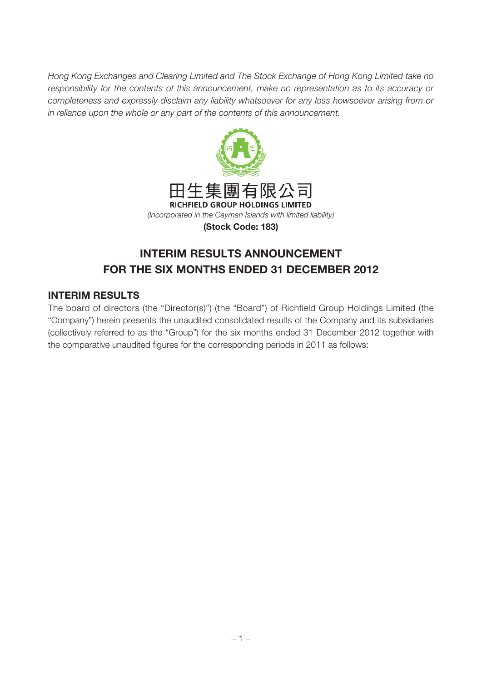Hong Kong Exchanges and Clearing Limited and The Stock Exchange of Hong Kong Limited take no responsibility for the contents of this announcement, make no representation as to its accuracy or completeness and expressly disclaim any liability whatsoever for any loss howsoever arising from or in reliance upon the whole or any part of the contents of this announcement.



# **INTERIM RESULTS ANNOUNCEMENT FOR THE SIX MONTHS ENDED 31 DECEMBER 2012**

## **INTERIM RESULTS**

The board of directors (the "Director(s)") (the "Board") of Richfield Group Holdings Limited (the "Company") herein presents the unaudited consolidated results of the Company and its subsidiaries (collectively referred to as the "Group") for the six months ended 31 December 2012 together with the comparative unaudited figures for the corresponding periods in 2011 as follows: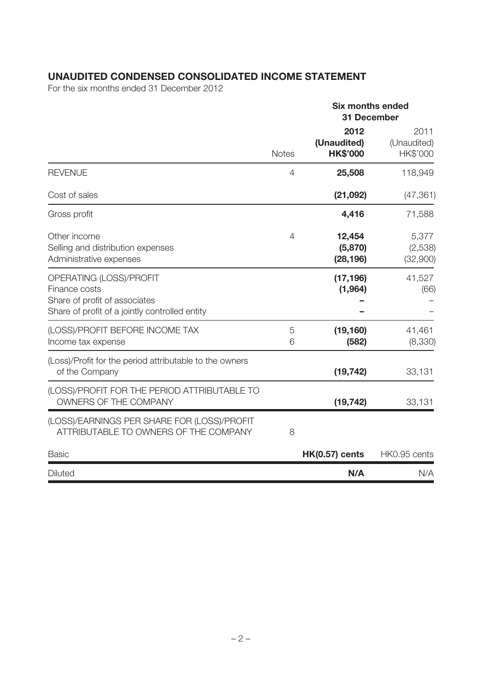## **UNAUDITED CONDENSED CONSOLIDATED INCOME STATEMENT**

For the six months ended 31 December 2012

|                                                                                                                             |                | <b>Six months ended</b><br><b>31 December</b> |                                 |
|-----------------------------------------------------------------------------------------------------------------------------|----------------|-----------------------------------------------|---------------------------------|
|                                                                                                                             | <b>Notes</b>   | 2012<br>(Unaudited)<br><b>HK\$'000</b>        | 2011<br>(Unaudited)<br>HK\$'000 |
| <b>REVENUE</b>                                                                                                              | $\overline{4}$ | 25,508                                        | 118,949                         |
| Cost of sales                                                                                                               |                | (21,092)                                      | (47, 361)                       |
| Gross profit                                                                                                                |                | 4,416                                         | 71,588                          |
| Other income<br>Selling and distribution expenses<br>Administrative expenses                                                | $\overline{4}$ | 12,454<br>(5,870)<br>(28, 196)                | 5,377<br>(2,538)<br>(32,900)    |
| OPERATING (LOSS)/PROFIT<br>Finance costs<br>Share of profit of associates<br>Share of profit of a jointly controlled entity |                | (17, 196)<br>(1,964)                          | 41,527<br>(66)                  |
| (LOSS)/PROFIT BEFORE INCOME TAX<br>Income tax expense                                                                       | 5<br>6         | (19, 160)<br>(582)                            | 41,461<br>(8,330)               |
| (Loss)/Profit for the period attributable to the owners<br>of the Company                                                   |                | (19, 742)                                     | 33,131                          |
| (LOSS)/PROFIT FOR THE PERIOD ATTRIBUTABLE TO<br>OWNERS OF THE COMPANY                                                       |                | (19, 742)                                     | 33,131                          |
| (LOSS)/EARNINGS PER SHARE FOR (LOSS)/PROFIT<br>ATTRIBUTABLE TO OWNERS OF THE COMPANY                                        | 8              |                                               |                                 |
| <b>Basic</b>                                                                                                                |                | <b>HK(0.57) cents</b>                         | HK0.95 cents                    |
| <b>Diluted</b>                                                                                                              |                | N/A                                           | N/A                             |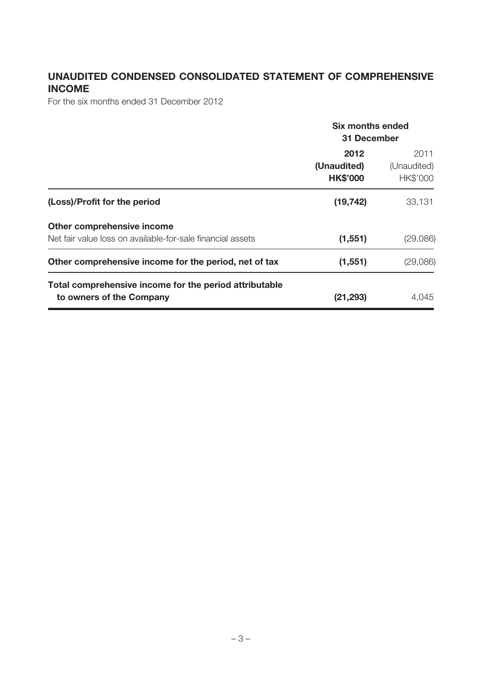## **UNAUDITED CONDENSED CONSOLIDATED STATEMENT OF COMPREHENSIVE INCOME**

For the six months ended 31 December 2012

|                                                                                          | Six months ended<br>31 December        |                                 |  |
|------------------------------------------------------------------------------------------|----------------------------------------|---------------------------------|--|
|                                                                                          | 2012<br>(Unaudited)<br><b>HK\$'000</b> | 2011<br>(Unaudited)<br>HK\$'000 |  |
| (Loss)/Profit for the period                                                             | (19, 742)                              | 33,131                          |  |
| Other comprehensive income<br>Net fair value loss on available-for-sale financial assets | (1, 551)                               | (29,086)                        |  |
| Other comprehensive income for the period, net of tax                                    | (1, 551)                               | (29,086)                        |  |
| Total comprehensive income for the period attributable<br>to owners of the Company       | (21, 293)                              | 4,045                           |  |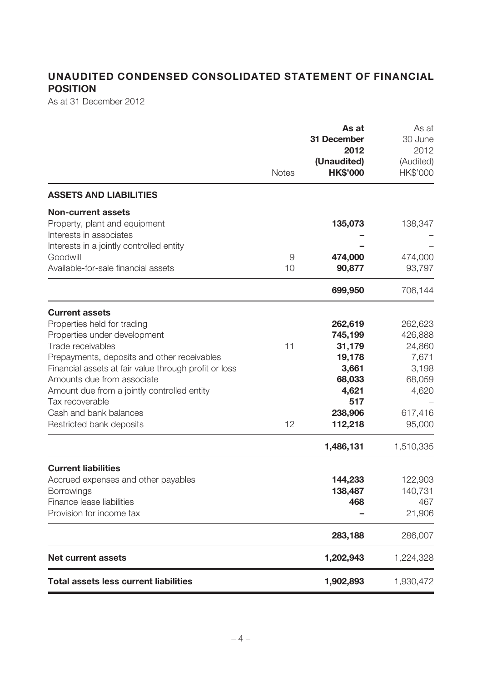## **UNAUDITED CONDENSED CONSOLIDATED STATEMENT OF FINANCIAL POSITION**

As at 31 December 2012

|                                                                                                                                                                                                                                                                                                                                                                         | <b>Notes</b> | As at<br>31 December<br>2012<br>(Unaudited)<br><b>HK\$'000</b>                                               | As at<br>30 June<br>2012<br>(Audited)<br>HK\$'000                                                   |
|-------------------------------------------------------------------------------------------------------------------------------------------------------------------------------------------------------------------------------------------------------------------------------------------------------------------------------------------------------------------------|--------------|--------------------------------------------------------------------------------------------------------------|-----------------------------------------------------------------------------------------------------|
| <b>ASSETS AND LIABILITIES</b>                                                                                                                                                                                                                                                                                                                                           |              |                                                                                                              |                                                                                                     |
| <b>Non-current assets</b><br>Property, plant and equipment<br>Interests in associates                                                                                                                                                                                                                                                                                   |              | 135,073                                                                                                      | 138,347                                                                                             |
| Interests in a jointly controlled entity<br>Goodwill<br>Available-for-sale financial assets                                                                                                                                                                                                                                                                             | 9<br>10      | 474,000<br>90,877                                                                                            | 474,000<br>93,797                                                                                   |
|                                                                                                                                                                                                                                                                                                                                                                         |              | 699,950                                                                                                      | 706,144                                                                                             |
| <b>Current assets</b><br>Properties held for trading<br>Properties under development<br>Trade receivables<br>Prepayments, deposits and other receivables<br>Financial assets at fair value through profit or loss<br>Amounts due from associate<br>Amount due from a jointly controlled entity<br>Tax recoverable<br>Cash and bank balances<br>Restricted bank deposits | 11<br>12     | 262,619<br>745,199<br>31,179<br>19,178<br>3,661<br>68,033<br>4,621<br>517<br>238,906<br>112,218<br>1,486,131 | 262,623<br>426,888<br>24,860<br>7,671<br>3,198<br>68,059<br>4,620<br>617,416<br>95,000<br>1,510,335 |
| <b>Current liabilities</b><br>Accrued expenses and other payables<br><b>Borrowings</b><br>Finance lease liabilities<br>Provision for income tax                                                                                                                                                                                                                         |              | 144,233<br>138,487<br>468                                                                                    | 122,903<br>140,731<br>467<br>21,906                                                                 |
|                                                                                                                                                                                                                                                                                                                                                                         |              | 283,188                                                                                                      | 286,007                                                                                             |
| <b>Net current assets</b>                                                                                                                                                                                                                                                                                                                                               |              | 1,202,943                                                                                                    | 1,224,328                                                                                           |
| <b>Total assets less current liabilities</b>                                                                                                                                                                                                                                                                                                                            |              | 1,902,893                                                                                                    | 1,930,472                                                                                           |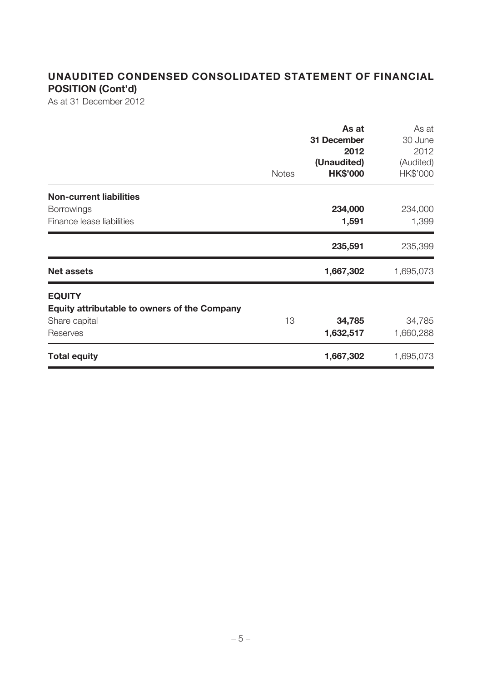## **UNAUDITED CONDENSED CONSOLIDATED STATEMENT OF FINANCIAL POSITION (Cont'd)**

As at 31 December 2012

|                                                                                                   | <b>Notes</b> | As at<br>31 December<br>2012<br>(Unaudited)<br><b>HK\$'000</b> | As at<br>30 June<br>2012<br>(Audited)<br>HK\$'000 |
|---------------------------------------------------------------------------------------------------|--------------|----------------------------------------------------------------|---------------------------------------------------|
| <b>Non-current liabilities</b><br><b>Borrowings</b><br>Finance lease liabilities                  |              | 234,000<br>1,591                                               | 234,000<br>1,399                                  |
|                                                                                                   |              | 235,591                                                        | 235,399                                           |
| <b>Net assets</b>                                                                                 |              | 1,667,302                                                      | 1,695,073                                         |
| <b>EQUITY</b><br><b>Equity attributable to owners of the Company</b><br>Share capital<br>Reserves | 13           | 34,785<br>1,632,517                                            | 34,785<br>1,660,288                               |
| <b>Total equity</b>                                                                               |              | 1,667,302                                                      | 1,695,073                                         |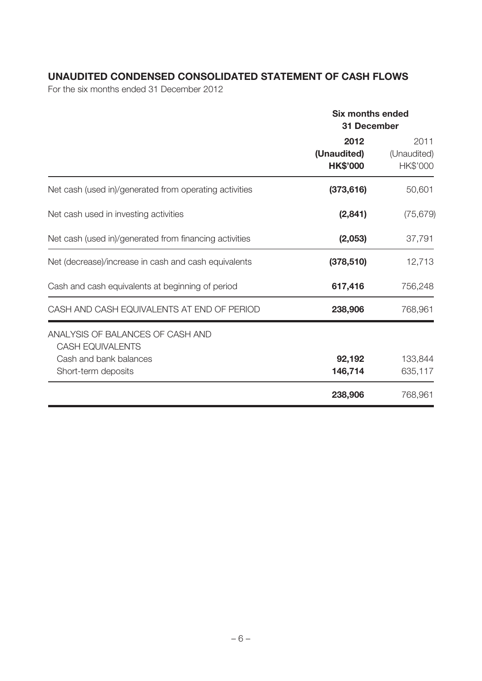## **UNAUDITED CONDENSED CONSOLIDATED STATEMENT OF CASH FLOWS**

For the six months ended 31 December 2012

|                                                                                       | <b>Six months ended</b><br><b>31 December</b> |                                 |  |
|---------------------------------------------------------------------------------------|-----------------------------------------------|---------------------------------|--|
|                                                                                       | 2012<br>(Unaudited)<br><b>HK\$'000</b>        | 2011<br>(Unaudited)<br>HK\$'000 |  |
| Net cash (used in)/generated from operating activities                                | (373, 616)                                    | 50,601                          |  |
| Net cash used in investing activities                                                 | (2,841)                                       | (75, 679)                       |  |
| Net cash (used in)/generated from financing activities                                | (2,053)                                       | 37,791                          |  |
| Net (decrease)/increase in cash and cash equivalents                                  | (378, 510)                                    | 12,713                          |  |
| Cash and cash equivalents at beginning of period                                      | 617,416                                       | 756,248                         |  |
| CASH AND CASH EQUIVALENTS AT END OF PERIOD                                            | 238,906                                       | 768,961                         |  |
| ANALYSIS OF BALANCES OF CASH AND<br><b>CASH EQUIVALENTS</b><br>Cash and bank balances | 92,192                                        | 133,844                         |  |
| Short-term deposits                                                                   | 146,714<br>238,906                            | 635,117<br>768,961              |  |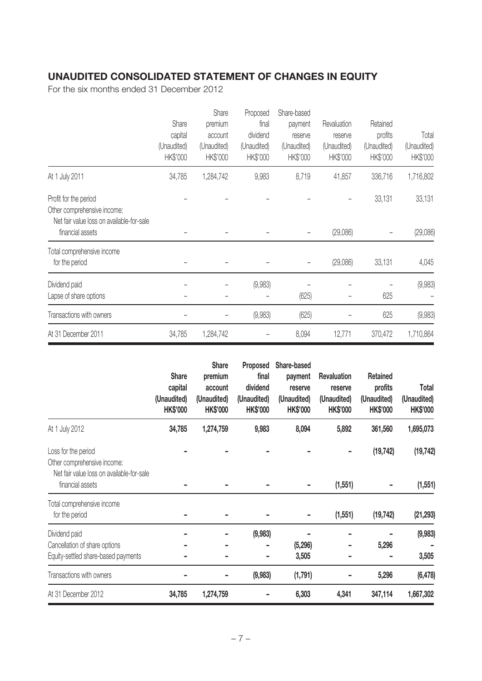## **UNAUDITED CONSOLIDATED STATEMENT OF CHANGES IN EQUITY**

For the six months ended 31 December 2012

|                                                                                                   | Share<br>capital<br>(Unaudited)<br>HK\$'000 | Share<br>premium<br>account<br>(Unaudited)<br>HK\$'000 | Proposed<br>final<br>dividend<br>(Unaudited)<br>HK\$'000 | Share-based<br>payment<br>reserve<br>(Unaudited)<br>HK\$'000 | Revaluation<br>reserve<br>(Unaudited)<br>HK\$'000 | Retained<br>profits<br>(Unaudited)<br>HK\$'000 | Total<br>(Unaudited)<br>HK\$'000 |
|---------------------------------------------------------------------------------------------------|---------------------------------------------|--------------------------------------------------------|----------------------------------------------------------|--------------------------------------------------------------|---------------------------------------------------|------------------------------------------------|----------------------------------|
| At 1 July 2011                                                                                    | 34,785                                      | 1,284,742                                              | 9,983                                                    | 8,719                                                        | 41,857                                            | 336,716                                        | 1,716,802                        |
| Profit for the period<br>Other comprehensive income:<br>Net fair value loss on available-for-sale |                                             |                                                        |                                                          |                                                              |                                                   | 33,131                                         | 33,131                           |
| financial assets                                                                                  |                                             |                                                        |                                                          |                                                              | (29,086)                                          |                                                | (29,086)                         |
| Total comprehensive income<br>for the period                                                      |                                             |                                                        |                                                          |                                                              | (29,086)                                          | 33,131                                         | 4,045                            |
| Dividend paid<br>Lapse of share options                                                           |                                             |                                                        | (9,983)                                                  | (625)                                                        |                                                   | 625                                            | (9,983)                          |
| Transactions with owners                                                                          |                                             |                                                        | (9,983)                                                  | (625)                                                        |                                                   | 625                                            | (9,983)                          |
| At 31 December 2011                                                                               | 34,785                                      | 1,284,742                                              |                                                          | 8,094                                                        | 12,771                                            | 370,472                                        | 1,710,864                        |

|                                                                                                 | <b>Share</b><br>capital<br>(Unaudited)<br><b>HK\$'000</b> | <b>Share</b><br>premium<br>account<br>(Unaudited)<br><b>HK\$'000</b> | Proposed<br>final<br>dividend<br>(Unaudited)<br><b>HK\$'000</b> | Share-based<br>payment<br>reserve<br>(Unaudited)<br><b>HK\$'000</b> | <b>Revaluation</b><br>reserve<br>(Unaudited)<br><b>HK\$'000</b> | Retained<br>profits<br>(Unaudited)<br><b>HK\$'000</b> | Total<br>(Unaudited)<br><b>HK\$'000</b> |
|-------------------------------------------------------------------------------------------------|-----------------------------------------------------------|----------------------------------------------------------------------|-----------------------------------------------------------------|---------------------------------------------------------------------|-----------------------------------------------------------------|-------------------------------------------------------|-----------------------------------------|
| At 1 July 2012                                                                                  | 34,785                                                    | 1,274,759                                                            | 9,983                                                           | 8,094                                                               | 5,892                                                           | 361,560                                               | 1,695,073                               |
| Loss for the period<br>Other comprehensive income:<br>Net fair value loss on available-for-sale |                                                           |                                                                      |                                                                 |                                                                     |                                                                 | (19, 742)                                             | (19, 742)                               |
| financial assets                                                                                |                                                           |                                                                      |                                                                 |                                                                     | (1, 551)                                                        |                                                       | (1, 551)                                |
| Total comprehensive income<br>for the period                                                    |                                                           |                                                                      |                                                                 |                                                                     | (1, 551)                                                        | (19, 742)                                             | (21, 293)                               |
| Dividend paid                                                                                   |                                                           |                                                                      | (9,983)                                                         |                                                                     |                                                                 |                                                       | (9,983)                                 |
| Cancellation of share options                                                                   |                                                           |                                                                      |                                                                 | (5, 296)                                                            |                                                                 | 5,296                                                 |                                         |
| Equity-settled share-based payments                                                             |                                                           |                                                                      |                                                                 | 3,505                                                               |                                                                 |                                                       | 3,505                                   |
| Transactions with owners                                                                        |                                                           |                                                                      | (9,983)                                                         | (1,791)                                                             |                                                                 | 5,296                                                 | (6, 478)                                |
| At 31 December 2012                                                                             | 34,785                                                    | 1,274,759                                                            |                                                                 | 6,303                                                               | 4,341                                                           | 347,114                                               | 1,667,302                               |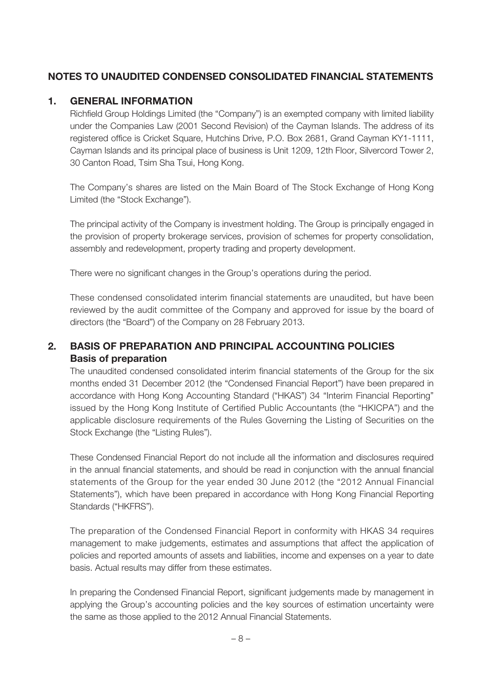## **NOTES TO UNAUDITED CONDENSED CONSOLIDATED FINANCIAL STATEMENTS**

#### **1. GENERAL INFORMATION**

Richfield Group Holdings Limited (the "Company") is an exempted company with limited liability under the Companies Law (2001 Second Revision) of the Cayman Islands. The address of its registered office is Cricket Square, Hutchins Drive, P.O. Box 2681, Grand Cayman KY1-1111, Cayman Islands and its principal place of business is Unit 1209, 12th Floor, Silvercord Tower 2, 30 Canton Road, Tsim Sha Tsui, Hong Kong.

The Company's shares are listed on the Main Board of The Stock Exchange of Hong Kong Limited (the "Stock Exchange").

The principal activity of the Company is investment holding. The Group is principally engaged in the provision of property brokerage services, provision of schemes for property consolidation, assembly and redevelopment, property trading and property development.

There were no significant changes in the Group's operations during the period.

These condensed consolidated interim financial statements are unaudited, but have been reviewed by the audit committee of the Company and approved for issue by the board of directors (the "Board") of the Company on 28 February 2013.

## **2. BASIS OF PREPARATION AND PRINCIPAL ACCOUNTING POLICIES Basis of preparation**

The unaudited condensed consolidated interim financial statements of the Group for the six months ended 31 December 2012 (the "Condensed Financial Report") have been prepared in accordance with Hong Kong Accounting Standard ("HKAS") 34 "Interim Financial Reporting" issued by the Hong Kong Institute of Certified Public Accountants (the "HKICPA") and the applicable disclosure requirements of the Rules Governing the Listing of Securities on the Stock Exchange (the "Listing Rules").

These Condensed Financial Report do not include all the information and disclosures required in the annual financial statements, and should be read in conjunction with the annual financial statements of the Group for the year ended 30 June 2012 (the "2012 Annual Financial Statements"), which have been prepared in accordance with Hong Kong Financial Reporting Standards ("HKFRS").

The preparation of the Condensed Financial Report in conformity with HKAS 34 requires management to make judgements, estimates and assumptions that affect the application of policies and reported amounts of assets and liabilities, income and expenses on a year to date basis. Actual results may differ from these estimates.

In preparing the Condensed Financial Report, significant judgements made by management in applying the Group's accounting policies and the key sources of estimation uncertainty were the same as those applied to the 2012 Annual Financial Statements.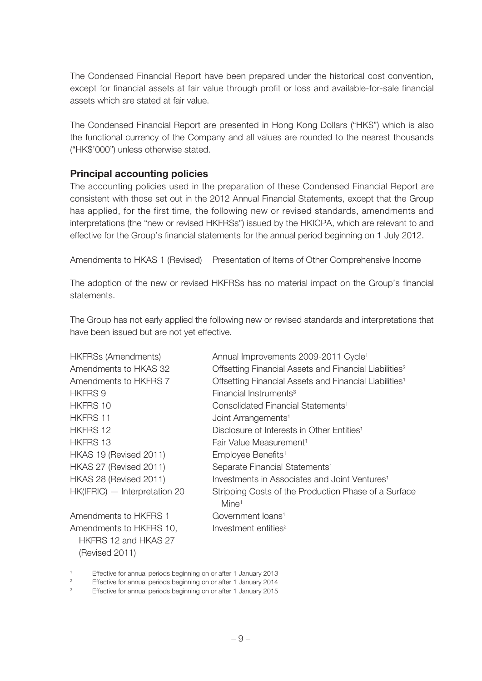The Condensed Financial Report have been prepared under the historical cost convention, except for financial assets at fair value through profit or loss and available-for-sale financial assets which are stated at fair value.

The Condensed Financial Report are presented in Hong Kong Dollars ("HK\$") which is also the functional currency of the Company and all values are rounded to the nearest thousands ("HK\$'000") unless otherwise stated.

#### **Principal accounting policies**

The accounting policies used in the preparation of these Condensed Financial Report are consistent with those set out in the 2012 Annual Financial Statements, except that the Group has applied, for the first time, the following new or revised standards, amendments and interpretations (the "new or revised HKFRSs") issued by the HKICPA, which are relevant to and effective for the Group's financial statements for the annual period beginning on 1 July 2012.

Amendments to HKAS 1 (Revised) Presentation of Items of Other Comprehensive Income

The adoption of the new or revised HKFRSs has no material impact on the Group's financial statements.

The Group has not early applied the following new or revised standards and interpretations that have been issued but are not yet effective.

| <b>HKFRSs (Amendments)</b>                                        | Annual Improvements 2009-2011 Cycle <sup>1</sup>                          |
|-------------------------------------------------------------------|---------------------------------------------------------------------------|
| Amendments to HKAS 32                                             | Offsetting Financial Assets and Financial Liabilities <sup>2</sup>        |
| Amendments to HKFRS 7                                             | Offsetting Financial Assets and Financial Liabilities <sup>1</sup>        |
| <b>HKFRS 9</b>                                                    | Financial Instruments <sup>3</sup>                                        |
| <b>HKFRS 10</b>                                                   | Consolidated Financial Statements <sup>1</sup>                            |
| <b>HKFRS 11</b>                                                   | Joint Arrangements <sup>1</sup>                                           |
| <b>HKFRS 12</b>                                                   | Disclosure of Interests in Other Entities <sup>1</sup>                    |
| <b>HKFRS 13</b>                                                   | Fair Value Measurement <sup>1</sup>                                       |
| HKAS 19 (Revised 2011)                                            | Employee Benefits <sup>1</sup>                                            |
| HKAS 27 (Revised 2011)                                            | Separate Financial Statements <sup>1</sup>                                |
| HKAS 28 (Revised 2011)                                            | Investments in Associates and Joint Ventures <sup>1</sup>                 |
| HK(IFRIC) - Interpretation 20                                     | Stripping Costs of the Production Phase of a Surface<br>Mine <sup>1</sup> |
| Amendments to HKFRS 1                                             | Government loans <sup>1</sup>                                             |
| Amendments to HKFRS 10,<br>HKFRS 12 and HKAS 27<br>(Revised 2011) | Investment entities <sup>2</sup>                                          |

1 Effective for annual periods beginning on or after 1 January 2013

2 Effective for annual periods beginning on or after 1 January 2014

<sup>3</sup> Effective for annual periods beginning on or after 1 January 2015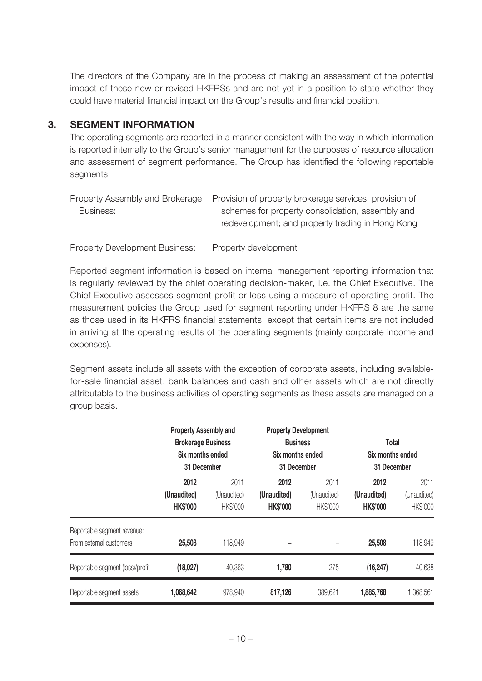The directors of the Company are in the process of making an assessment of the potential impact of these new or revised HKFRSs and are not yet in a position to state whether they could have material financial impact on the Group's results and financial position.

#### **3. SEGMENT INFORMATION**

The operating segments are reported in a manner consistent with the way in which information is reported internally to the Group's senior management for the purposes of resource allocation and assessment of segment performance. The Group has identified the following reportable segments.

|           | Property Assembly and Brokerage Provision of property brokerage services; provision of |
|-----------|----------------------------------------------------------------------------------------|
| Business: | schemes for property consolidation, assembly and                                       |
|           | redevelopment; and property trading in Hong Kong                                       |

Property Development Business: Property development

Reported segment information is based on internal management reporting information that is regularly reviewed by the chief operating decision-maker, i.e. the Chief Executive. The Chief Executive assesses segment profit or loss using a measure of operating profit. The measurement policies the Group used for segment reporting under HKFRS 8 are the same as those used in its HKFRS financial statements, except that certain items are not included in arriving at the operating results of the operating segments (mainly corporate income and expenses).

Segment assets include all assets with the exception of corporate assets, including availablefor-sale financial asset, bank balances and cash and other assets which are not directly attributable to the business activities of operating segments as these assets are managed on a group basis.

|                                                        | <b>Property Assembly and</b><br><b>Brokerage Business</b><br>Six months ended<br>31 December |                                 | <b>Property Development</b><br><b>Business</b><br>Six months ended<br>31 December |                                 | Total<br>Six months ended<br>31 December |                                 |
|--------------------------------------------------------|----------------------------------------------------------------------------------------------|---------------------------------|-----------------------------------------------------------------------------------|---------------------------------|------------------------------------------|---------------------------------|
|                                                        | 2012<br>(Unaudited)<br><b>HK\$'000</b>                                                       | 2011<br>(Unaudited)<br>HK\$'000 | 2012<br>(Unaudited)<br><b>HK\$'000</b>                                            | 2011<br>(Unaudited)<br>HK\$'000 | 2012<br>(Unaudited)<br><b>HK\$'000</b>   | 2011<br>(Unaudited)<br>HK\$'000 |
| Reportable segment revenue:<br>From external customers | 25,508                                                                                       | 118,949                         | -                                                                                 |                                 | 25,508                                   | 118,949                         |
| Reportable segment (loss)/profit                       | (18,027)                                                                                     | 40,363                          | 1,780                                                                             | 275                             | (16, 247)                                | 40,638                          |
| Reportable segment assets                              | 1,068,642                                                                                    | 978,940                         | 817,126                                                                           | 389,621                         | 1,885,768                                | ,368,561                        |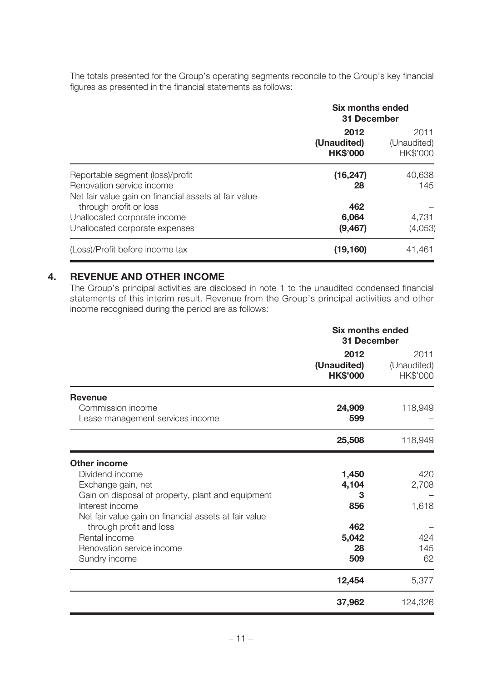The totals presented for the Group's operating segments reconcile to the Group's key financial figures as presented in the financial statements as follows:

|                                                                                                                        | <b>Six months ended</b><br>31 December |                                 |  |
|------------------------------------------------------------------------------------------------------------------------|----------------------------------------|---------------------------------|--|
|                                                                                                                        | 2012<br>(Unaudited)<br><b>HK\$'000</b> | 2011<br>(Unaudited)<br>HK\$'000 |  |
| Reportable segment (loss)/profit<br>Renovation service income<br>Net fair value gain on financial assets at fair value | (16, 247)<br>28                        | 40,638<br>145                   |  |
| through profit or loss<br>Unallocated corporate income                                                                 | 462<br>6,064                           | 4,731                           |  |
| Unallocated corporate expenses                                                                                         | (9, 467)                               | (4,053)                         |  |
| (Loss)/Profit before income tax                                                                                        | (19,160)                               | 41,461                          |  |

#### **4. REVENUE AND OTHER INCOME**

The Group's principal activities are disclosed in note 1 to the unaudited condensed financial statements of this interim result. Revenue from the Group's principal activities and other income recognised during the period are as follows:

|                                                                         | <b>Six months ended</b><br>31 December |                                 |  |
|-------------------------------------------------------------------------|----------------------------------------|---------------------------------|--|
|                                                                         | 2012<br>(Unaudited)<br><b>HK\$'000</b> | 2011<br>(Unaudited)<br>HK\$'000 |  |
| <b>Revenue</b><br>Commission income<br>Lease management services income | 24,909<br>599                          | 118,949                         |  |
|                                                                         | 25,508                                 | 118,949                         |  |
| <b>Other income</b>                                                     |                                        |                                 |  |
| Dividend income                                                         | 1,450                                  | 420                             |  |
| Exchange gain, net                                                      | 4,104                                  | 2,708                           |  |
| Gain on disposal of property, plant and equipment                       | з                                      |                                 |  |
| Interest income                                                         | 856                                    | 1,618                           |  |
| Net fair value gain on financial assets at fair value                   |                                        |                                 |  |
| through profit and loss                                                 | 462                                    |                                 |  |
| Rental income                                                           | 5,042                                  | 424                             |  |
| Renovation service income                                               | 28                                     | 145<br>62                       |  |
| Sundry income                                                           | 509                                    |                                 |  |
|                                                                         | 12,454                                 | 5,377                           |  |
|                                                                         | 37,962                                 | 124,326                         |  |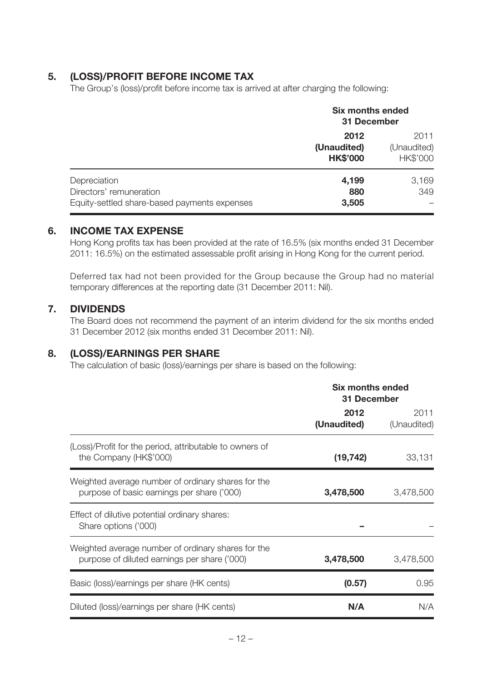#### **5. (LOSS)/PROFIT BEFORE INCOME TAX**

The Group's (loss)/profit before income tax is arrived at after charging the following:

|                                                                                         | <b>Six months ended</b><br>31 December |                                 |
|-----------------------------------------------------------------------------------------|----------------------------------------|---------------------------------|
|                                                                                         | 2012<br>(Unaudited)<br><b>HK\$'000</b> | 2011<br>(Unaudited)<br>HK\$'000 |
| Depreciation<br>Directors' remuneration<br>Equity-settled share-based payments expenses | 4,199<br>880<br>3,505                  | 3,169<br>349                    |

#### **6. INCOME TAX EXPENSE**

Hong Kong profits tax has been provided at the rate of 16.5% (six months ended 31 December 2011: 16.5%) on the estimated assessable profit arising in Hong Kong for the current period.

Deferred tax had not been provided for the Group because the Group had no material temporary differences at the reporting date (31 December 2011: Nil).

#### **7. DIVIDENDS**

The Board does not recommend the payment of an interim dividend for the six months ended 31 December 2012 (six months ended 31 December 2011: Nil).

#### **8. (LOSS)/EARNINGS PER SHARE**

The calculation of basic (loss)/earnings per share is based on the following:

|                                                                                                    | <b>Six months ended</b><br>31 December |                     |
|----------------------------------------------------------------------------------------------------|----------------------------------------|---------------------|
|                                                                                                    | 2012<br>(Unaudited)                    | 2011<br>(Unaudited) |
| (Loss)/Profit for the period, attributable to owners of<br>the Company (HK\$'000)                  | (19, 742)                              | 33,131              |
| Weighted average number of ordinary shares for the<br>purpose of basic earnings per share ('000)   | 3,478,500                              | 3,478,500           |
| Effect of dilutive potential ordinary shares:<br>Share options ('000)                              |                                        |                     |
| Weighted average number of ordinary shares for the<br>purpose of diluted earnings per share ('000) | 3,478,500                              | 3,478,500           |
| Basic (loss)/earnings per share (HK cents)                                                         | (0.57)                                 | 0.95                |
| Diluted (loss)/earnings per share (HK cents)                                                       | N/A                                    | N/A                 |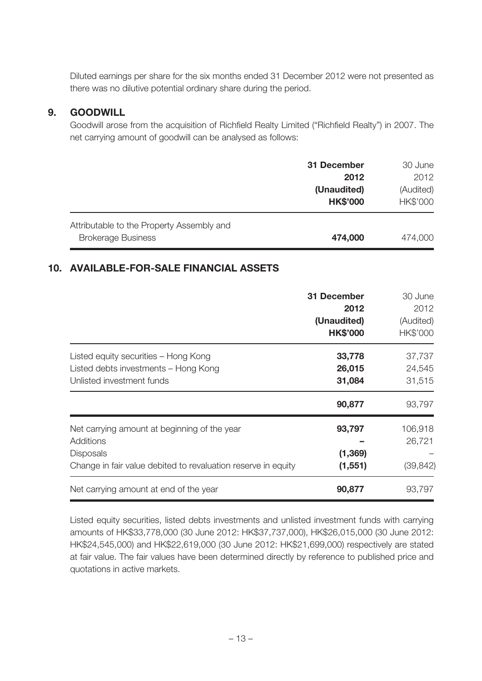Diluted earnings per share for the six months ended 31 December 2012 were not presented as there was no dilutive potential ordinary share during the period.

#### **9. GOODWILL**

Goodwill arose from the acquisition of Richfield Realty Limited ("Richfield Realty") in 2007. The net carrying amount of goodwill can be analysed as follows:

|                                                                        | 31 December<br>2012<br>(Unaudited)<br><b>HK\$'000</b> | 30 June<br>2012<br>(Audited)<br>HK\$'000 |
|------------------------------------------------------------------------|-------------------------------------------------------|------------------------------------------|
| Attributable to the Property Assembly and<br><b>Brokerage Business</b> | 474,000                                               | 474,000                                  |

## **10. AVAILABLE-FOR-SALE FINANCIAL ASSETS**

|                                                                                                                                                | 31 December<br>2012<br>(Unaudited)<br><b>HK\$'000</b> | 30 June<br>2012<br>(Audited)<br>HK\$'000 |
|------------------------------------------------------------------------------------------------------------------------------------------------|-------------------------------------------------------|------------------------------------------|
| Listed equity securities – Hong Kong<br>Listed debts investments - Hong Kong<br>Unlisted investment funds                                      | 33,778<br>26,015<br>31,084                            | 37,737<br>24,545<br>31,515               |
|                                                                                                                                                | 90,877                                                | 93,797                                   |
| Net carrying amount at beginning of the year<br>Additions<br><b>Disposals</b><br>Change in fair value debited to revaluation reserve in equity | 93,797<br>(1, 369)<br>(1, 551)                        | 106,918<br>26,721<br>(39, 842)           |
| Net carrying amount at end of the year                                                                                                         | 90,877                                                | 93,797                                   |

Listed equity securities, listed debts investments and unlisted investment funds with carrying amounts of HK\$33,778,000 (30 June 2012: HK\$37,737,000), HK\$26,015,000 (30 June 2012: HK\$24,545,000) and HK\$22,619,000 (30 June 2012: HK\$21,699,000) respectively are stated at fair value. The fair values have been determined directly by reference to published price and quotations in active markets.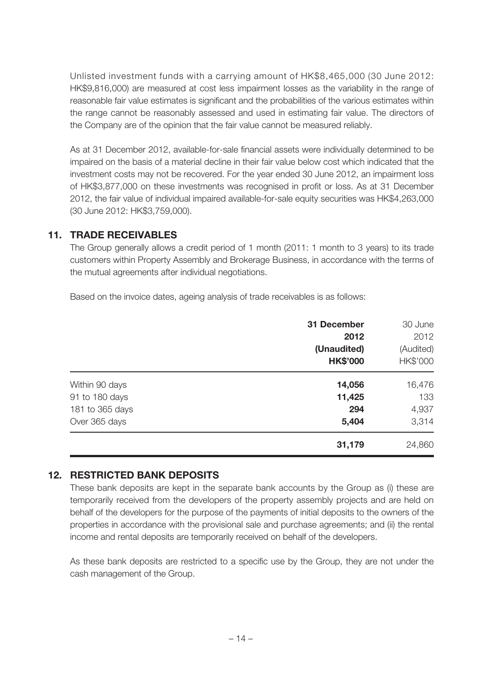Unlisted investment funds with a carrying amount of HK\$8,465,000 (30 June 2012: HK\$9,816,000) are measured at cost less impairment losses as the variability in the range of reasonable fair value estimates is significant and the probabilities of the various estimates within the range cannot be reasonably assessed and used in estimating fair value. The directors of the Company are of the opinion that the fair value cannot be measured reliably.

As at 31 December 2012, available-for-sale financial assets were individually determined to be impaired on the basis of a material decline in their fair value below cost which indicated that the investment costs may not be recovered. For the year ended 30 June 2012, an impairment loss of HK\$3,877,000 on these investments was recognised in profit or loss. As at 31 December 2012, the fair value of individual impaired available-for-sale equity securities was HK\$4,263,000 (30 June 2012: HK\$3,759,000).

#### **11. TRADE RECEIVABLES**

The Group generally allows a credit period of 1 month (2011: 1 month to 3 years) to its trade customers within Property Assembly and Brokerage Business, in accordance with the terms of the mutual agreements after individual negotiations.

Based on the invoice dates, ageing analysis of trade receivables is as follows:

|                 | 31 December     | 30 June   |
|-----------------|-----------------|-----------|
|                 | 2012            | 2012      |
|                 | (Unaudited)     | (Audited) |
|                 | <b>HK\$'000</b> | HK\$'000  |
| Within 90 days  | 14,056          | 16,476    |
| 91 to 180 days  | 11,425          | 133       |
| 181 to 365 days | 294             | 4,937     |
| Over 365 days   | 5,404           | 3,314     |
|                 | 31,179          | 24,860    |

#### **12. RESTRICTED BANK DEPOSITS**

These bank deposits are kept in the separate bank accounts by the Group as (i) these are temporarily received from the developers of the property assembly projects and are held on behalf of the developers for the purpose of the payments of initial deposits to the owners of the properties in accordance with the provisional sale and purchase agreements; and (ii) the rental income and rental deposits are temporarily received on behalf of the developers.

As these bank deposits are restricted to a specific use by the Group, they are not under the cash management of the Group.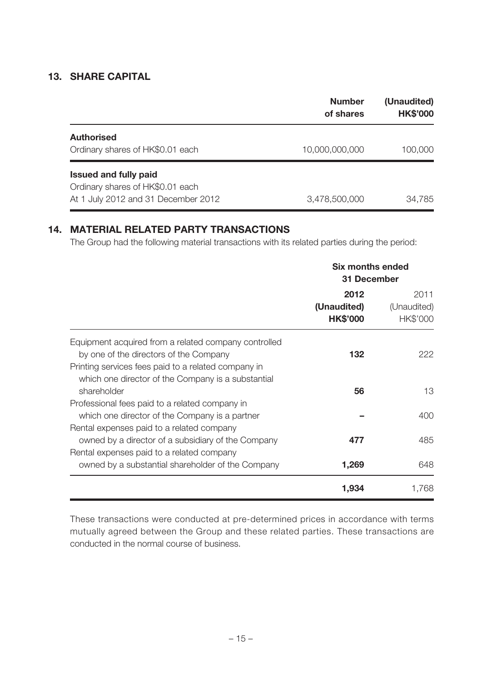#### **13. SHARE CAPITAL**

|                                                                                                         | <b>Number</b><br>of shares | (Unaudited)<br><b>HK\$'000</b> |
|---------------------------------------------------------------------------------------------------------|----------------------------|--------------------------------|
| <b>Authorised</b><br>Ordinary shares of HK\$0.01 each                                                   | 10,000,000,000             | 100,000                        |
| <b>Issued and fully paid</b><br>Ordinary shares of HK\$0.01 each<br>At 1 July 2012 and 31 December 2012 | 3,478,500,000              | 34,785                         |

## **14. MATERIAL RELATED PARTY TRANSACTIONS**

The Group had the following material transactions with its related parties during the period:

|                                                                                                           | Six months ended<br>31 December        |                                 |
|-----------------------------------------------------------------------------------------------------------|----------------------------------------|---------------------------------|
|                                                                                                           | 2012<br>(Unaudited)<br><b>HK\$'000</b> | 2011<br>(Unaudited)<br>HK\$'000 |
| Equipment acquired from a related company controlled<br>by one of the directors of the Company            | 132                                    | 222                             |
| Printing services fees paid to a related company in<br>which one director of the Company is a substantial |                                        |                                 |
| shareholder<br>Professional fees paid to a related company in                                             | 56                                     | 13                              |
| which one director of the Company is a partner<br>Rental expenses paid to a related company               |                                        | 400                             |
| owned by a director of a subsidiary of the Company<br>Rental expenses paid to a related company           | 477                                    | 485                             |
| owned by a substantial shareholder of the Company                                                         | 1,269                                  | 648                             |
|                                                                                                           | 1,934                                  | 1,768                           |

These transactions were conducted at pre-determined prices in accordance with terms mutually agreed between the Group and these related parties. These transactions are conducted in the normal course of business.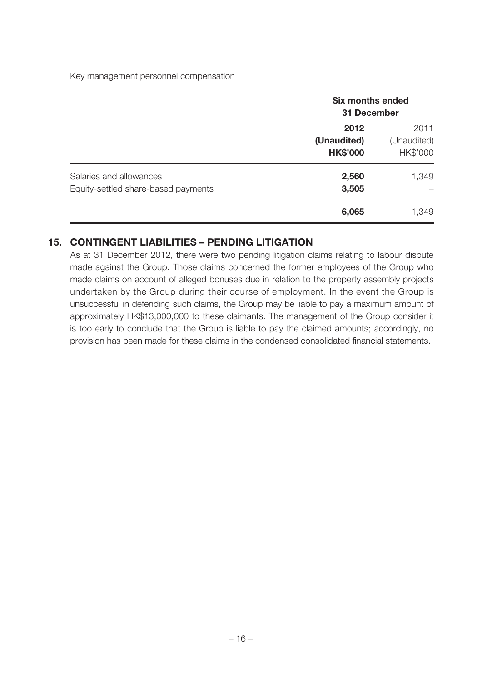Key management personnel compensation

|                                                                | <b>Six months ended</b><br>31 December |                                 |
|----------------------------------------------------------------|----------------------------------------|---------------------------------|
|                                                                | 2012<br>(Unaudited)<br><b>HK\$'000</b> | 2011<br>(Unaudited)<br>HK\$'000 |
| Salaries and allowances<br>Equity-settled share-based payments | 2,560<br>3,505                         | 1,349                           |
|                                                                | 6,065                                  | 1,349                           |

#### **15. CONTINGENT LIABILITIES – PENDING LITIGATION**

As at 31 December 2012, there were two pending litigation claims relating to labour dispute made against the Group. Those claims concerned the former employees of the Group who made claims on account of alleged bonuses due in relation to the property assembly projects undertaken by the Group during their course of employment. In the event the Group is unsuccessful in defending such claims, the Group may be liable to pay a maximum amount of approximately HK\$13,000,000 to these claimants. The management of the Group consider it is too early to conclude that the Group is liable to pay the claimed amounts; accordingly, no provision has been made for these claims in the condensed consolidated financial statements.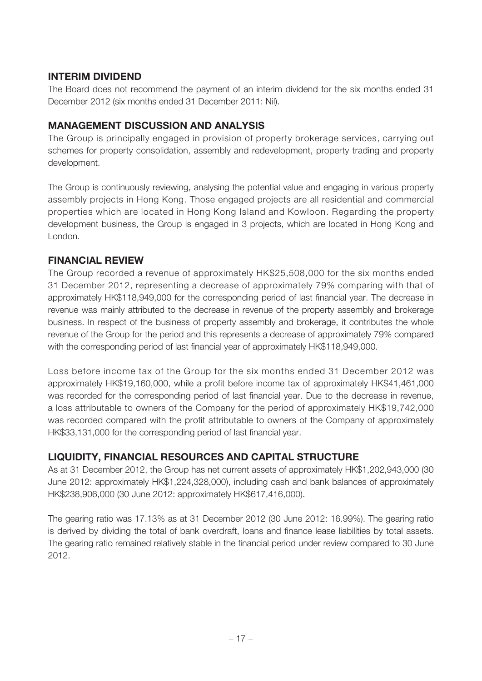## **INTERIM DIVIDEND**

The Board does not recommend the payment of an interim dividend for the six months ended 31 December 2012 (six months ended 31 December 2011: Nil).

## **MANAGEMENT DISCUSSION AND ANALYSIS**

The Group is principally engaged in provision of property brokerage services, carrying out schemes for property consolidation, assembly and redevelopment, property trading and property development.

The Group is continuously reviewing, analysing the potential value and engaging in various property assembly projects in Hong Kong. Those engaged projects are all residential and commercial properties which are located in Hong Kong Island and Kowloon. Regarding the property development business, the Group is engaged in 3 projects, which are located in Hong Kong and London.

## **FINANCIAL REVIEW**

The Group recorded a revenue of approximately HK\$25,508,000 for the six months ended 31 December 2012, representing a decrease of approximately 79% comparing with that of approximately HK\$118,949,000 for the corresponding period of last financial year. The decrease in revenue was mainly attributed to the decrease in revenue of the property assembly and brokerage business. In respect of the business of property assembly and brokerage, it contributes the whole revenue of the Group for the period and this represents a decrease of approximately 79% compared with the corresponding period of last financial year of approximately HK\$118,949,000.

Loss before income tax of the Group for the six months ended 31 December 2012 was approximately HK\$19,160,000, while a profit before income tax of approximately HK\$41,461,000 was recorded for the corresponding period of last financial year. Due to the decrease in revenue, a loss attributable to owners of the Company for the period of approximately HK\$19,742,000 was recorded compared with the profit attributable to owners of the Company of approximately HK\$33,131,000 for the corresponding period of last financial year.

## **LIQUIDITY, FINANCIAL RESOURCES AND CAPITAL STRUCTURE**

As at 31 December 2012, the Group has net current assets of approximately HK\$1,202,943,000 (30 June 2012: approximately HK\$1,224,328,000), including cash and bank balances of approximately HK\$238,906,000 (30 June 2012: approximately HK\$617,416,000).

The gearing ratio was 17.13% as at 31 December 2012 (30 June 2012: 16.99%). The gearing ratio is derived by dividing the total of bank overdraft, loans and finance lease liabilities by total assets. The gearing ratio remained relatively stable in the financial period under review compared to 30 June 2012.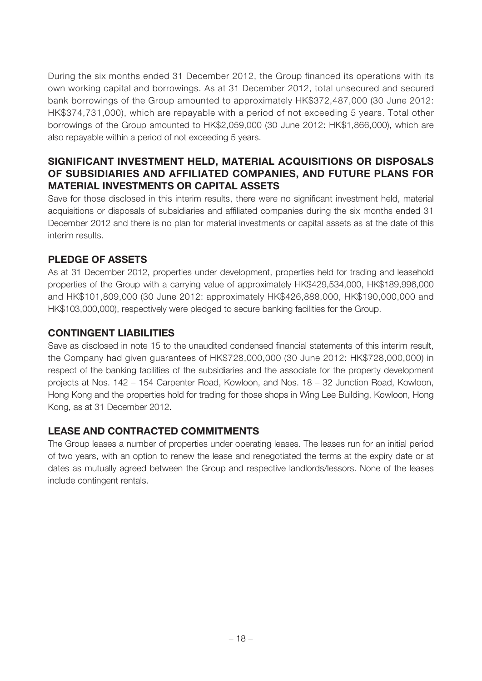During the six months ended 31 December 2012, the Group financed its operations with its own working capital and borrowings. As at 31 December 2012, total unsecured and secured bank borrowings of the Group amounted to approximately HK\$372,487,000 (30 June 2012: HK\$374,731,000), which are repayable with a period of not exceeding 5 years. Total other borrowings of the Group amounted to HK\$2,059,000 (30 June 2012: HK\$1,866,000), which are also repayable within a period of not exceeding 5 years.

## **SIGNIFICANT INVESTMENT HELD, MATERIAL ACQUISITIONS OR DISPOSALS OF SUBSIDIARIES AND AFFILIATED COMPANIES, AND FUTURE PLANS FOR MATERIAL INVESTMENTS OR CAPITAL ASSETS**

Save for those disclosed in this interim results, there were no significant investment held, material acquisitions or disposals of subsidiaries and affiliated companies during the six months ended 31 December 2012 and there is no plan for material investments or capital assets as at the date of this interim results.

## **PLEDGE OF ASSETS**

As at 31 December 2012, properties under development, properties held for trading and leasehold properties of the Group with a carrying value of approximately HK\$429,534,000, HK\$189,996,000 and HK\$101,809,000 (30 June 2012: approximately HK\$426,888,000, HK\$190,000,000 and HK\$103,000,000), respectively were pledged to secure banking facilities for the Group.

#### **CONTINGENT LIABILITIES**

Save as disclosed in note 15 to the unaudited condensed financial statements of this interim result, the Company had given guarantees of HK\$728,000,000 (30 June 2012: HK\$728,000,000) in respect of the banking facilities of the subsidiaries and the associate for the property development projects at Nos. 142 – 154 Carpenter Road, Kowloon, and Nos. 18 – 32 Junction Road, Kowloon, Hong Kong and the properties hold for trading for those shops in Wing Lee Building, Kowloon, Hong Kong, as at 31 December 2012.

## **LEASE AND CONTRACTED COMMITMENTS**

The Group leases a number of properties under operating leases. The leases run for an initial period of two years, with an option to renew the lease and renegotiated the terms at the expiry date or at dates as mutually agreed between the Group and respective landlords/lessors. None of the leases include contingent rentals.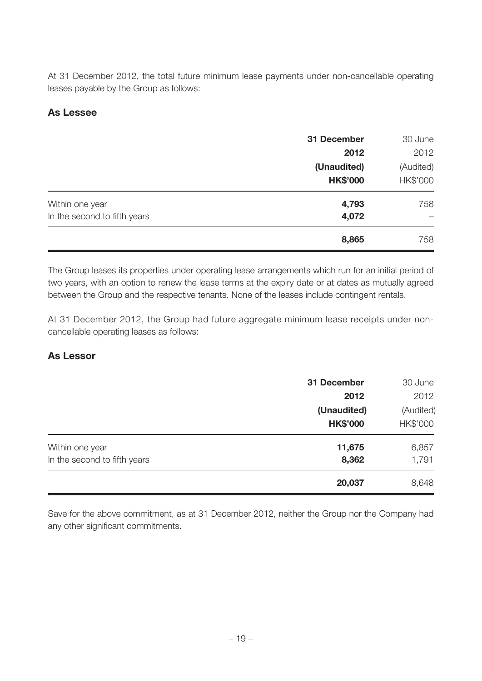At 31 December 2012, the total future minimum lease payments under non-cancellable operating leases payable by the Group as follows:

## **As Lessee**

|                                                 | 31 December<br>2012            | 30 June<br>2012       |
|-------------------------------------------------|--------------------------------|-----------------------|
|                                                 | (Unaudited)<br><b>HK\$'000</b> | (Audited)<br>HK\$'000 |
| Within one year<br>In the second to fifth years | 4,793<br>4,072                 | 758                   |
|                                                 | 8,865                          | 758                   |

The Group leases its properties under operating lease arrangements which run for an initial period of two years, with an option to renew the lease terms at the expiry date or at dates as mutually agreed between the Group and the respective tenants. None of the leases include contingent rentals.

At 31 December 2012, the Group had future aggregate minimum lease receipts under noncancellable operating leases as follows:

#### **As Lessor**

|                              | 31 December     | 30 June   |
|------------------------------|-----------------|-----------|
|                              | 2012            | 2012      |
|                              | (Unaudited)     | (Audited) |
|                              | <b>HK\$'000</b> | HK\$'000  |
| Within one year              | 11,675          | 6,857     |
| In the second to fifth years | 8,362           | 1,791     |
|                              | 20,037          | 8,648     |

Save for the above commitment, as at 31 December 2012, neither the Group nor the Company had any other significant commitments.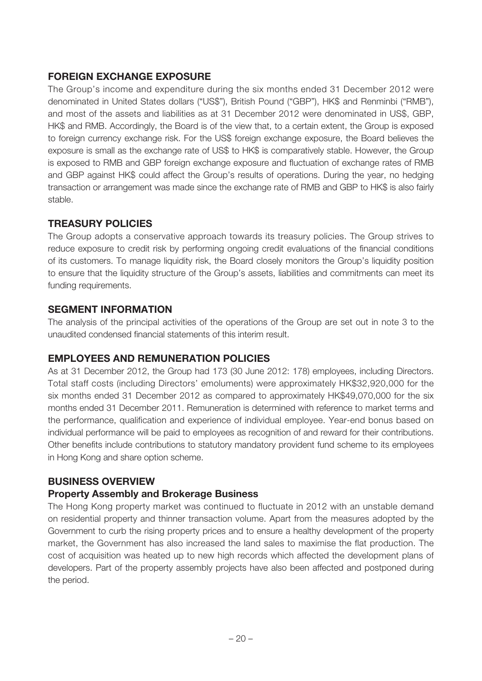## **FOREIGN EXCHANGE EXPOSURE**

The Group's income and expenditure during the six months ended 31 December 2012 were denominated in United States dollars ("US\$"), British Pound ("GBP"), HK\$ and Renminbi ("RMB"), and most of the assets and liabilities as at 31 December 2012 were denominated in US\$, GBP, HK\$ and RMB. Accordingly, the Board is of the view that, to a certain extent, the Group is exposed to foreign currency exchange risk. For the US\$ foreign exchange exposure, the Board believes the exposure is small as the exchange rate of US\$ to HK\$ is comparatively stable. However, the Group is exposed to RMB and GBP foreign exchange exposure and fluctuation of exchange rates of RMB and GBP against HK\$ could affect the Group's results of operations. During the year, no hedging transaction or arrangement was made since the exchange rate of RMB and GBP to HK\$ is also fairly stable.

## **TREASURY POLICIES**

The Group adopts a conservative approach towards its treasury policies. The Group strives to reduce exposure to credit risk by performing ongoing credit evaluations of the financial conditions of its customers. To manage liquidity risk, the Board closely monitors the Group's liquidity position to ensure that the liquidity structure of the Group's assets, liabilities and commitments can meet its funding requirements.

#### **SEGMENT INFORMATION**

The analysis of the principal activities of the operations of the Group are set out in note 3 to the unaudited condensed financial statements of this interim result.

## **EMPLOYEES AND REMUNERATION POLICIES**

As at 31 December 2012, the Group had 173 (30 June 2012: 178) employees, including Directors. Total staff costs (including Directors' emoluments) were approximately HK\$32,920,000 for the six months ended 31 December 2012 as compared to approximately HK\$49,070,000 for the six months ended 31 December 2011. Remuneration is determined with reference to market terms and the performance, qualification and experience of individual employee. Year-end bonus based on individual performance will be paid to employees as recognition of and reward for their contributions. Other benefits include contributions to statutory mandatory provident fund scheme to its employees in Hong Kong and share option scheme.

## **BUSINESS OVERVIEW**

#### **Property Assembly and Brokerage Business**

The Hong Kong property market was continued to fluctuate in 2012 with an unstable demand on residential property and thinner transaction volume. Apart from the measures adopted by the Government to curb the rising property prices and to ensure a healthy development of the property market, the Government has also increased the land sales to maximise the flat production. The cost of acquisition was heated up to new high records which affected the development plans of developers. Part of the property assembly projects have also been affected and postponed during the period.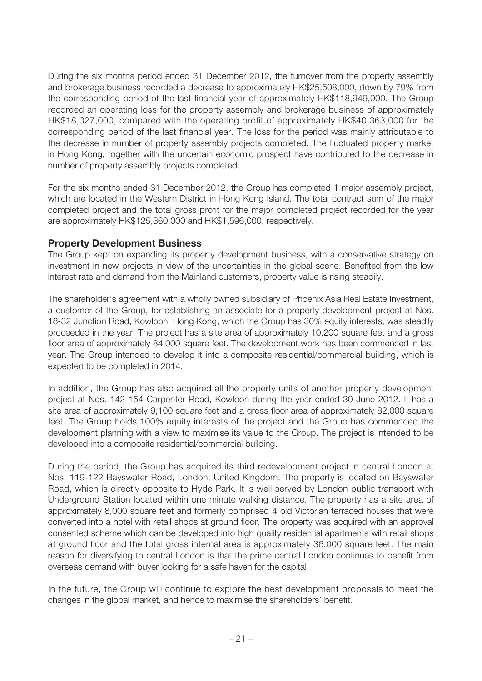During the six months period ended 31 December 2012, the turnover from the property assembly and brokerage business recorded a decrease to approximately HK\$25,508,000, down by 79% from the corresponding period of the last financial year of approximately HK\$118,949,000. The Group recorded an operating loss for the property assembly and brokerage business of approximately HK\$18,027,000, compared with the operating profit of approximately HK\$40,363,000 for the corresponding period of the last financial year. The loss for the period was mainly attributable to the decrease in number of property assembly projects completed. The fluctuated property market in Hong Kong, together with the uncertain economic prospect have contributed to the decrease in number of property assembly projects completed.

For the six months ended 31 December 2012, the Group has completed 1 major assembly project, which are located in the Western District in Hong Kong Island. The total contract sum of the major completed project and the total gross profit for the major completed project recorded for the year are approximately HK\$125,360,000 and HK\$1,596,000, respectively.

#### **Property Development Business**

The Group kept on expanding its property development business, with a conservative strategy on investment in new projects in view of the uncertainties in the global scene. Benefited from the low interest rate and demand from the Mainland customers, property value is rising steadily.

The shareholder's agreement with a wholly owned subsidiary of Phoenix Asia Real Estate Investment, a customer of the Group, for establishing an associate for a property development project at Nos. 18-32 Junction Road, Kowloon, Hong Kong, which the Group has 30% equity interests, was steadily proceeded in the year. The project has a site area of approximately 10,200 square feet and a gross floor area of approximately 84,000 square feet. The development work has been commenced in last year. The Group intended to develop it into a composite residential/commercial building, which is expected to be completed in 2014.

In addition, the Group has also acquired all the property units of another property development project at Nos. 142-154 Carpenter Road, Kowloon during the year ended 30 June 2012. It has a site area of approximately 9,100 square feet and a gross floor area of approximately 82,000 square feet. The Group holds 100% equity interests of the project and the Group has commenced the development planning with a view to maximise its value to the Group. The project is intended to be developed into a composite residential/commercial building.

During the period, the Group has acquired its third redevelopment project in central London at Nos. 119-122 Bayswater Road, London, United Kingdom. The property is located on Bayswater Road, which is directly opposite to Hyde Park. It is well served by London public transport with Underground Station located within one minute walking distance. The property has a site area of approximately 8,000 square feet and formerly comprised 4 old Victorian terraced houses that were converted into a hotel with retail shops at ground floor. The property was acquired with an approval consented scheme which can be developed into high quality residential apartments with retail shops at ground floor and the total gross internal area is approximately 36,000 square feet. The main reason for diversifying to central London is that the prime central London continues to benefit from overseas demand with buyer looking for a safe haven for the capital.

In the future, the Group will continue to explore the best development proposals to meet the changes in the global market, and hence to maximise the shareholders' benefit.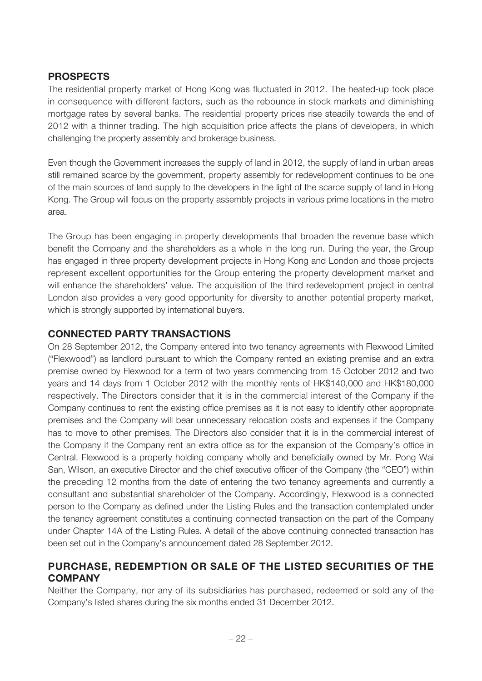### **PROSPECTS**

The residential property market of Hong Kong was fluctuated in 2012. The heated-up took place in consequence with different factors, such as the rebounce in stock markets and diminishing mortgage rates by several banks. The residential property prices rise steadily towards the end of 2012 with a thinner trading. The high acquisition price affects the plans of developers, in which challenging the property assembly and brokerage business.

Even though the Government increases the supply of land in 2012, the supply of land in urban areas still remained scarce by the government, property assembly for redevelopment continues to be one of the main sources of land supply to the developers in the light of the scarce supply of land in Hong Kong. The Group will focus on the property assembly projects in various prime locations in the metro area.

The Group has been engaging in property developments that broaden the revenue base which benefit the Company and the shareholders as a whole in the long run. During the year, the Group has engaged in three property development projects in Hong Kong and London and those projects represent excellent opportunities for the Group entering the property development market and will enhance the shareholders' value. The acquisition of the third redevelopment project in central London also provides a very good opportunity for diversity to another potential property market, which is strongly supported by international buyers.

## **CONNECTED PARTY TRANSACTIONS**

On 28 September 2012, the Company entered into two tenancy agreements with Flexwood Limited ("Flexwood") as landlord pursuant to which the Company rented an existing premise and an extra premise owned by Flexwood for a term of two years commencing from 15 October 2012 and two years and 14 days from 1 October 2012 with the monthly rents of HK\$140,000 and HK\$180,000 respectively. The Directors consider that it is in the commercial interest of the Company if the Company continues to rent the existing office premises as it is not easy to identify other appropriate premises and the Company will bear unnecessary relocation costs and expenses if the Company has to move to other premises. The Directors also consider that it is in the commercial interest of the Company if the Company rent an extra office as for the expansion of the Company's office in Central. Flexwood is a property holding company wholly and beneficially owned by Mr. Pong Wai San, Wilson, an executive Director and the chief executive officer of the Company (the "CEO") within the preceding 12 months from the date of entering the two tenancy agreements and currently a consultant and substantial shareholder of the Company. Accordingly, Flexwood is a connected person to the Company as defined under the Listing Rules and the transaction contemplated under the tenancy agreement constitutes a continuing connected transaction on the part of the Company under Chapter 14A of the Listing Rules. A detail of the above continuing connected transaction has been set out in the Company's announcement dated 28 September 2012.

#### **PURCHASE, REDEMPTION OR SALE OF THE LISTED SECURITIES OF THE COMPANY**

Neither the Company, nor any of its subsidiaries has purchased, redeemed or sold any of the Company's listed shares during the six months ended 31 December 2012.